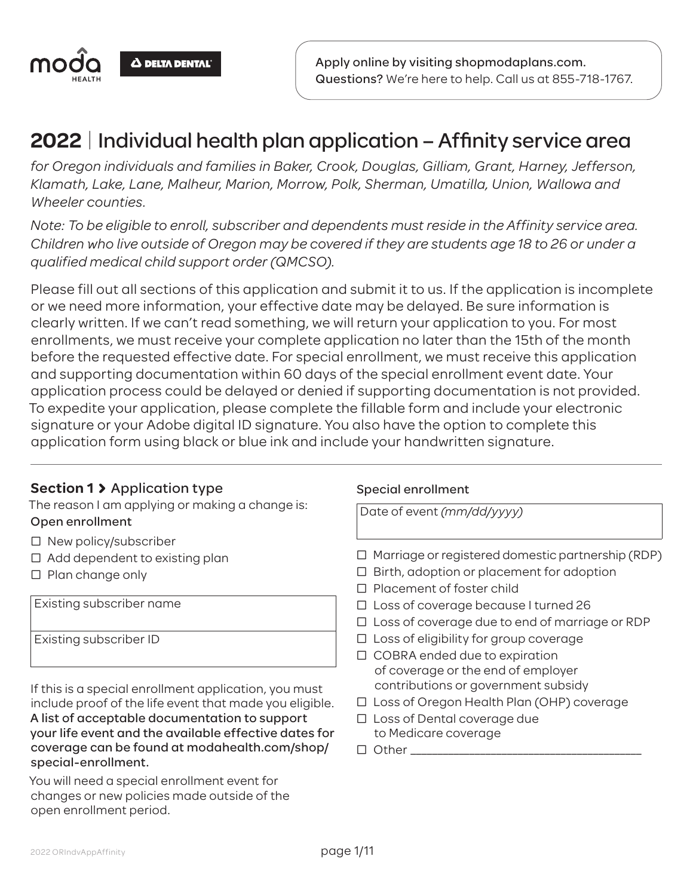

## **2022** | Individual health plan application – Affinity service area

*for Oregon individuals and families in Baker, Crook, Douglas, Gilliam, Grant, Harney, Jefferson, Klamath, Lake, Lane, Malheur, Marion, Morrow, Polk, Sherman, Umatilla, Union, Wallowa and Wheeler counties.*

*Note: To be eligible to enroll, subscriber and dependents must reside in the Affinity service area. Children who live outside of Oregon may be covered if they are students age 18 to 26 or under a qualified medical child support order (QMCSO).*

Please fill out all sections of this application and submit it to us. If the application is incomplete or we need more information, your effective date may be delayed. Be sure information is clearly written. If we can't read something, we will return your application to you. For most enrollments, we must receive your complete application no later than the 15th of the month before the requested effective date. For special enrollment, we must receive this application and supporting documentation within 60 days of the special enrollment event date. Your application process could be delayed or denied if supporting documentation is not provided. To expedite your application, please complete the fillable form and include your electronic signature or your Adobe digital ID signature. You also have the option to complete this application form using black or blue ink and include your handwritten signature.

## **Section 1** Application type

The reason I am applying or making a change is: Open enrollment

- □ New policy/subscriber
- $\Box$  Add dependent to existing plan
- $\square$  Plan change only

Existing subscriber name

Existing subscriber ID

If this is a special enrollment application, you must include proof of the life event that made you eligible. A list of acceptable documentation to support your life event and the available effective dates for coverage can be found at modahealth.com/shop/ special-enrollment.

You will need a special enrollment event for changes or new policies made outside of the open enrollment period.

#### Special enrollment

Date of event *(mm/dd/yyyy)*

- $\Box$  Marriage or registered domestic partnership (RDP)
- □ Birth, adoption or placement for adoption
- □ Placement of foster child
- Ƨ Loss of coverage because I turned 26
- $\Box$  Loss of coverage due to end of marriage or RDP
- $\square$  Loss of eligibility for group coverage
- □ COBRA ended due to expiration of coverage or the end of employer contributions or government subsidy
- □ Loss of Oregon Health Plan (OHP) coverage
- □ Loss of Dental coverage due to Medicare coverage
- $\square$  Other  $\square$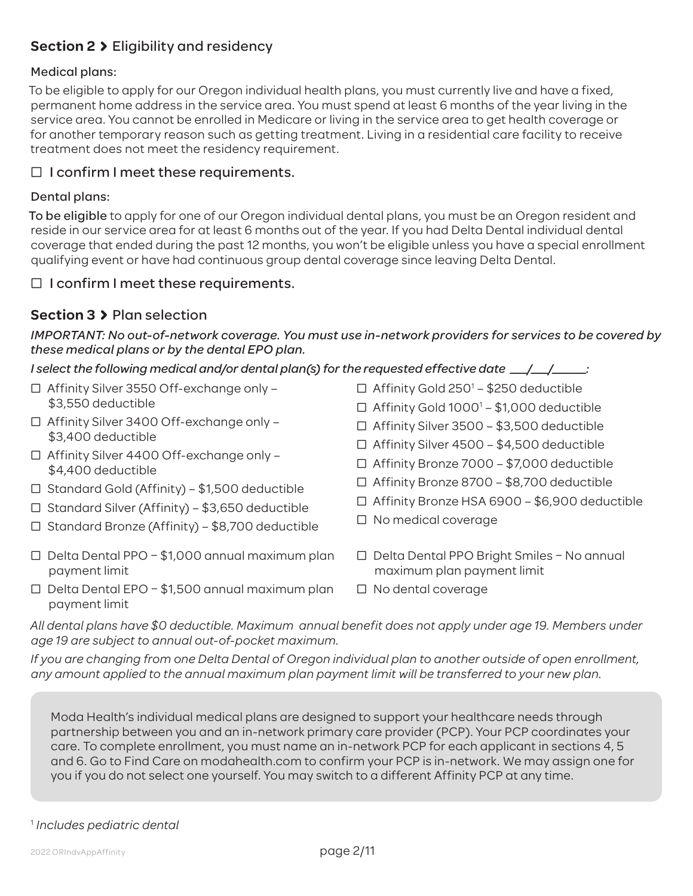## **Section 2** Eligibility and residency

#### Medical plans:

To be eligible to apply for our Oregon individual health plans, you must currently live and have a fixed, permanent home address in the service area. You must spend at least 6 months of the year living in the service area. You cannot be enrolled in Medicare or living in the service area to get health coverage or for another temporary reason such as getting treatment. Living in a residential care facility to receive treatment does not meet the residency requirement.

#### $\Box$  I confirm I meet these requirements.

#### Dental plans:

To be eligible to apply for one of our Oregon individual dental plans, you must be an Oregon resident and reside in our service area for at least 6 months out of the year. If you had Delta Dental individual dental coverage that ended during the past 12 months, you won't be eligible unless you have a special enrollment qualifying event or have had continuous group dental coverage since leaving Delta Dental.

#### $\Box$  I confirm I meet these requirements.

## **Section 3** Plan selection

*IMPORTANT: No out-of-network coverage. You must use in-network providers for services to be covered by these medical plans or by the dental EPO plan.*

*I select the following medical and/or dental plan(s) for the requested effective date \_\_\_/\_\_\_/\_\_\_\_\_\_:*

- Ƨ Affinity Silver 3550 Off-exchange only \$3,550 deductible
- Ƨ Affinity Silver 3400 Off-exchange only \$3,400 deductible
- Ƨ Affinity Silver 4400 Off-exchange only \$4,400 deductible
- $\Box$  Standard Gold (Affinity) \$1,500 deductible
- $\Box$  Standard Silver (Affinity) \$3,650 deductible
- $\Box$  Standard Bronze (Affinity) \$8,700 deductible
- $\Box$  Delta Dental PPO \$1,000 annual maximum plan payment limit
- $\Box$  Delta Dental EPO \$1,500 annual maximum plan payment limit
- □ Affinity Gold 250<sup>1</sup> \$250 deductible □ Affinity Gold 1000<sup>1</sup> – \$1,000 deductible
- Ƨ Affinity Silver 3500 \$3,500 deductible
- Ƨ Affinity Silver 4500 \$4,500 deductible
- Ƨ Affinity Bronze 7000 \$7,000 deductible
- Ƨ Affinity Bronze 8700 \$8,700 deductible
- Ƨ Affinity Bronze HSA 6900 \$6,900 deductible
- □ No medical coverage
- Ƨ Delta Dental PPO Bright Smiles No annual maximum plan payment limit
- Ƨ No dental coverage

*All dental plans have \$0 deductible. Maximum annual benefit does not apply under age 19. Members under age 19 are subject to annual out-of-pocket maximum.*

*If you are changing from one Delta Dental of Oregon individual plan to another outside of open enrollment, any amount applied to the annual maximum plan payment limit will be transferred to your new plan.*

Moda Health's individual medical plans are designed to support your healthcare needs through partnership between you and an in-network primary care provider (PCP). Your PCP coordinates your care. To complete enrollment, you must name an in-network PCP for each applicant in sections 4, 5 and 6. Go to Find Care on modahealth.com to confirm your PCP is in-network. We may assign one for you if you do not select one yourself. You may switch to a different Affinity PCP at any time.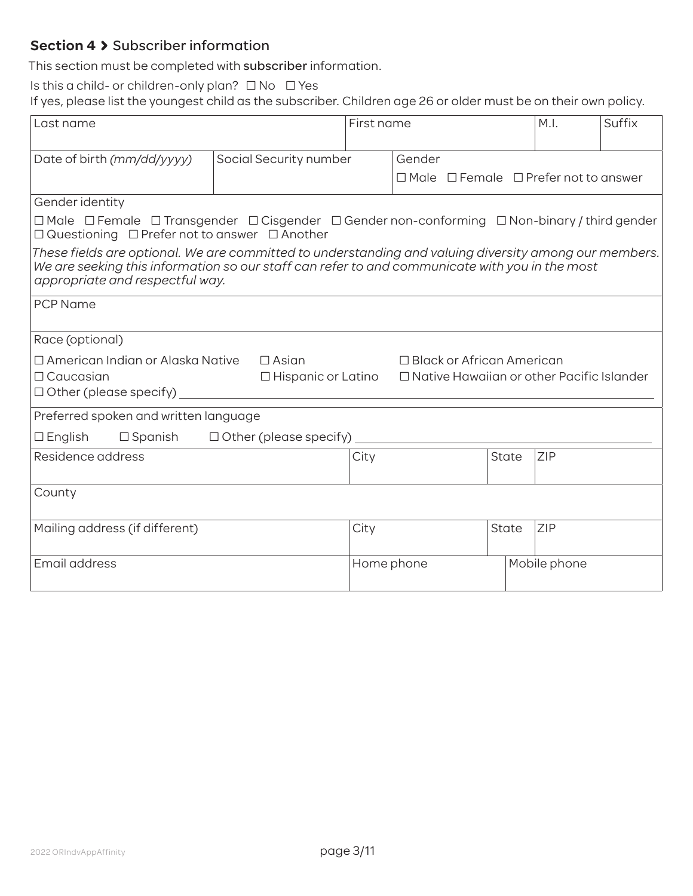## **Section 4 > Subscriber information**

This section must be completed with subscriber information.

Is this a child- or children-only plan?  $\Box$  No  $\Box$  Yes

If yes, please list the youngest child as the subscriber. Children age 26 or older must be on their own policy.

| Last name                                                                                                                                                                                                                                  |                                                                                                                                                                               | First name |        |                                  |              | M.I.                                                  | Suffix |
|--------------------------------------------------------------------------------------------------------------------------------------------------------------------------------------------------------------------------------------------|-------------------------------------------------------------------------------------------------------------------------------------------------------------------------------|------------|--------|----------------------------------|--------------|-------------------------------------------------------|--------|
|                                                                                                                                                                                                                                            |                                                                                                                                                                               |            |        |                                  |              |                                                       |        |
| Date of birth (mm/dd/yyyy)                                                                                                                                                                                                                 | Social Security number                                                                                                                                                        |            | Gender |                                  |              |                                                       |        |
|                                                                                                                                                                                                                                            |                                                                                                                                                                               |            |        |                                  |              | $\Box$ Male $\Box$ Female $\Box$ Prefer not to answer |        |
| Gender identity                                                                                                                                                                                                                            |                                                                                                                                                                               |            |        |                                  |              |                                                       |        |
|                                                                                                                                                                                                                                            | $\Box$ Male $\Box$ Female $\Box$ Transgender $\Box$ Cisgender $\Box$ Gender non-conforming $\Box$ Non-binary / third gender<br>□ Questioning □ Prefer not to answer □ Another |            |        |                                  |              |                                                       |        |
| These fields are optional. We are committed to understanding and valuing diversity among our members.<br>We are seeking this information so our staff can refer to and communicate with you in the most<br>appropriate and respectful way. |                                                                                                                                                                               |            |        |                                  |              |                                                       |        |
| <b>PCP Name</b>                                                                                                                                                                                                                            |                                                                                                                                                                               |            |        |                                  |              |                                                       |        |
| Race (optional)                                                                                                                                                                                                                            |                                                                                                                                                                               |            |        |                                  |              |                                                       |        |
| □ American Indian or Alaska Native                                                                                                                                                                                                         | $\Box$ Asian                                                                                                                                                                  |            |        | $\Box$ Black or African American |              |                                                       |        |
| $\Box$ Caucasian                                                                                                                                                                                                                           | $\Box$ Hispanic or Latino                                                                                                                                                     |            |        |                                  |              | $\Box$ Native Hawaiian or other Pacific Islander      |        |
| $\Box$ Other (please specify)                                                                                                                                                                                                              |                                                                                                                                                                               |            |        |                                  |              |                                                       |        |
| Preferred spoken and written language                                                                                                                                                                                                      |                                                                                                                                                                               |            |        |                                  |              |                                                       |        |
| $\Box$ English<br>$\Box$ Spanish                                                                                                                                                                                                           | $\Box$ Other (please specify)                                                                                                                                                 |            |        |                                  |              |                                                       |        |
| Residence address                                                                                                                                                                                                                          |                                                                                                                                                                               | City       |        |                                  | State        | ZIP                                                   |        |
|                                                                                                                                                                                                                                            |                                                                                                                                                                               |            |        |                                  |              |                                                       |        |
| County                                                                                                                                                                                                                                     |                                                                                                                                                                               |            |        |                                  |              |                                                       |        |
| Mailing address (if different)                                                                                                                                                                                                             |                                                                                                                                                                               | City       |        |                                  | <b>State</b> | <b>ZIP</b>                                            |        |
| Email address                                                                                                                                                                                                                              |                                                                                                                                                                               | Home phone |        |                                  |              | Mobile phone                                          |        |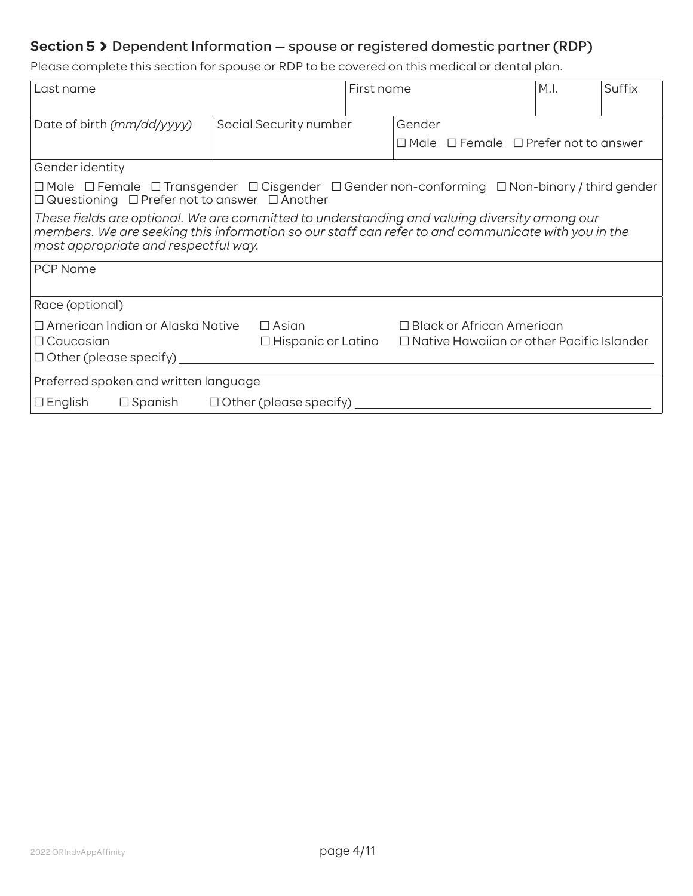## **Section 5** Dependent Information — spouse or registered domestic partner (RDP)

Please complete this section for spouse or RDP to be covered on this medical or dental plan.

| Last name                                                                                                                                                                                                                                  |                        | First name |        | M.I.                                                  | Suffix |  |
|--------------------------------------------------------------------------------------------------------------------------------------------------------------------------------------------------------------------------------------------|------------------------|------------|--------|-------------------------------------------------------|--------|--|
| Date of birth (mm/dd/yyyy)                                                                                                                                                                                                                 | Social Security number |            | Gender |                                                       |        |  |
|                                                                                                                                                                                                                                            |                        |            |        | $\Box$ Male $\Box$ Female $\Box$ Prefer not to answer |        |  |
| Gender identity                                                                                                                                                                                                                            |                        |            |        |                                                       |        |  |
| $\Box$ Male $\;\Box$ Female $\;\Box$ Transgender $\;\Box$ Cisgender $\;\Box$ Gender non-conforming $\;\Box$ Non-binary / third gender<br>$\Box$ Questioning $\Box$ Prefer not to answer $\Box$ Another                                     |                        |            |        |                                                       |        |  |
| These fields are optional. We are committed to understanding and valuing diversity among our<br>members. We are seeking this information so our staff can refer to and communicate with you in the<br>most appropriate and respectful way. |                        |            |        |                                                       |        |  |
| <b>PCP Name</b>                                                                                                                                                                                                                            |                        |            |        |                                                       |        |  |
| Race (optional)                                                                                                                                                                                                                            |                        |            |        |                                                       |        |  |
| $\Box$ American Indian or Alaska Native<br>$\Box$ Black or African American<br>$\Box$ Asian<br>$\Box$ Native Hawaiian or other Pacific Islander<br>$\Box$ Caucasian<br>$\Box$ Hispanic or Latino<br>$\Box$ Other (please specify)          |                        |            |        |                                                       |        |  |
| Preferred spoken and written language                                                                                                                                                                                                      |                        |            |        |                                                       |        |  |
| $\Box$ English<br>$\Box$ Spanish<br>$\Box$ Other (please specify)                                                                                                                                                                          |                        |            |        |                                                       |        |  |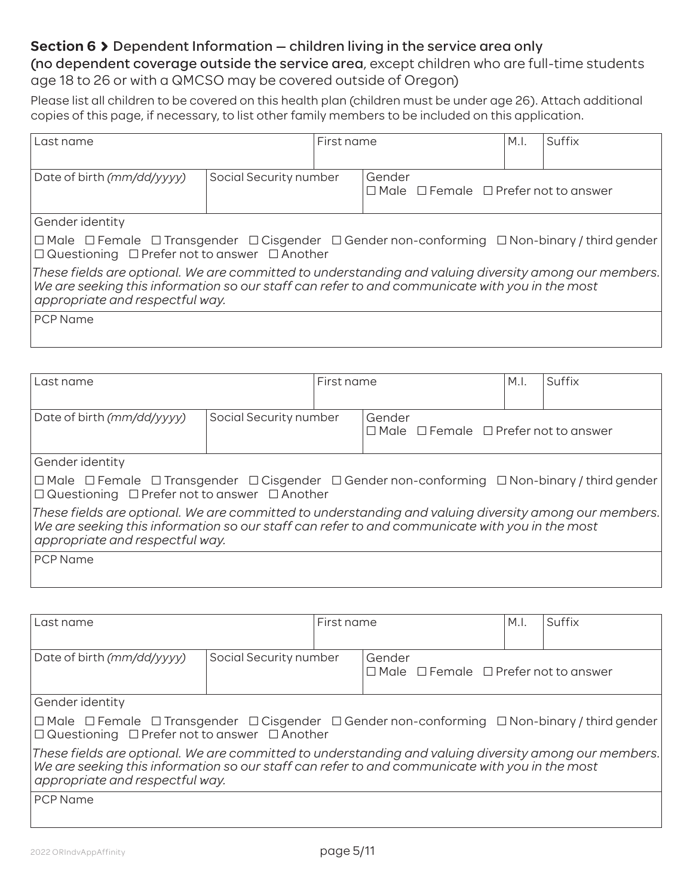## **Section 6 >** Dependent Information – children living in the service area only

(no dependent coverage outside the service area, except children who are full-time students age 18 to 26 or with a QMCSO may be covered outside of Oregon)

Please list all children to be covered on this health plan (children must be under age 26). Attach additional copies of this page, if necessary, to list other family members to be included on this application.

| First name<br>Last name                                                                                                                                                                                                                    |                        |  |        | Suffix                                                |  |  |
|--------------------------------------------------------------------------------------------------------------------------------------------------------------------------------------------------------------------------------------------|------------------------|--|--------|-------------------------------------------------------|--|--|
| Date of birth (mm/dd/yyyy)                                                                                                                                                                                                                 | Social Security number |  | Gender | $\Box$ Male $\Box$ Female $\Box$ Prefer not to answer |  |  |
| Gender identity                                                                                                                                                                                                                            |                        |  |        |                                                       |  |  |
| $\Box$ Male $\Box$ Female $\Box$ Transgender $\Box$ Cisgender $\Box$ Gender non-conforming $\Box$ Non-binary / third gender<br>$\Box$ Questioning $\Box$ Prefer not to answer $\Box$ Another                                               |                        |  |        |                                                       |  |  |
| These fields are optional. We are committed to understanding and valuing diversity among our members.<br>We are seeking this information so our staff can refer to and communicate with you in the most<br>appropriate and respectful way. |                        |  |        |                                                       |  |  |
| <b>PCP</b> Name                                                                                                                                                                                                                            |                        |  |        |                                                       |  |  |

| Last name                                                                                                                                                                                                                                  |                        | First name |                                                                 | M.I. | Suffix |  |  |
|--------------------------------------------------------------------------------------------------------------------------------------------------------------------------------------------------------------------------------------------|------------------------|------------|-----------------------------------------------------------------|------|--------|--|--|
| Date of birth (mm/dd/yyyy)                                                                                                                                                                                                                 | Social Security number |            | Gender<br>$\Box$ Male $\Box$ Female $\Box$ Prefer not to answer |      |        |  |  |
| Gender identity                                                                                                                                                                                                                            |                        |            |                                                                 |      |        |  |  |
| $ \Box$ Male $ \Box$ Female $ \Box$ Transgender $ \Box$ Cisgender $\Box$ Gender non-conforming $ \Box$ Non-binary / third gender $ \Box$<br>$\Box$ Questioning $\Box$ Prefer not to answer $\Box$ Another                                  |                        |            |                                                                 |      |        |  |  |
| These fields are optional. We are committed to understanding and valuing diversity among our members.<br>We are seeking this information so our staff can refer to and communicate with you in the most<br>appropriate and respectful way. |                        |            |                                                                 |      |        |  |  |
| <b>PCP</b> Name                                                                                                                                                                                                                            |                        |            |                                                                 |      |        |  |  |

| Last name                                                                                                                                                                                                                                  |                        | First name |                                                                 | M.I. | Suffix |  |
|--------------------------------------------------------------------------------------------------------------------------------------------------------------------------------------------------------------------------------------------|------------------------|------------|-----------------------------------------------------------------|------|--------|--|
| Date of birth (mm/dd/yyyy)                                                                                                                                                                                                                 | Social Security number |            | Gender<br>$\Box$ Male $\Box$ Female $\Box$ Prefer not to answer |      |        |  |
| Gender identity                                                                                                                                                                                                                            |                        |            |                                                                 |      |        |  |
| $\Box$ Male $\Box$ Female $\Box$ Transgender $\Box$ Cisgender $\Box$ Gender non-conforming $\Box$ Non-binary / third gender<br>$\Box$ Questioning $\Box$ Prefer not to answer $\Box$ Another                                               |                        |            |                                                                 |      |        |  |
| These fields are optional. We are committed to understanding and valuing diversity among our members.<br>We are seeking this information so our staff can refer to and communicate with you in the most<br>appropriate and respectful way. |                        |            |                                                                 |      |        |  |
| <b>PCP Name</b>                                                                                                                                                                                                                            |                        |            |                                                                 |      |        |  |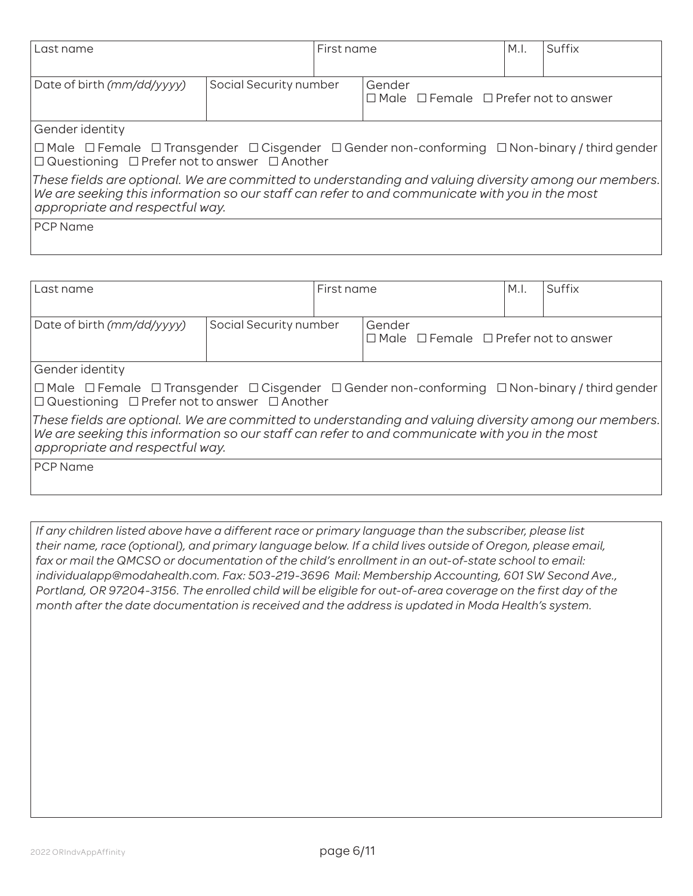| Last name                                                                                                                                                                                                                                  |                        | First name |                                                                 | M.I. | Suffix |  |
|--------------------------------------------------------------------------------------------------------------------------------------------------------------------------------------------------------------------------------------------|------------------------|------------|-----------------------------------------------------------------|------|--------|--|
| Date of birth (mm/dd/yyyy)                                                                                                                                                                                                                 | Social Security number |            | Gender<br>$\Box$ Male $\Box$ Female $\Box$ Prefer not to answer |      |        |  |
| Gender identity                                                                                                                                                                                                                            |                        |            |                                                                 |      |        |  |
| $\Box$ Male $\Box$ Female $\Box$ Transgender $\Box$ Cisgender $\Box$ Gender non-conforming $\Box$ Non-binary / third gender<br>$\Box$ Questioning $\Box$ Prefer not to answer $\Box$ Another                                               |                        |            |                                                                 |      |        |  |
| These fields are optional. We are committed to understanding and valuing diversity among our members.<br>We are seeking this information so our staff can refer to and communicate with you in the most<br>appropriate and respectful way. |                        |            |                                                                 |      |        |  |
| <b>PCP Name</b>                                                                                                                                                                                                                            |                        |            |                                                                 |      |        |  |

| Last name                                                                                                                                                                                                                                  |                        | First name |                                                                 | M.I. | Suffix |  |
|--------------------------------------------------------------------------------------------------------------------------------------------------------------------------------------------------------------------------------------------|------------------------|------------|-----------------------------------------------------------------|------|--------|--|
| Date of birth (mm/dd/yyyy)                                                                                                                                                                                                                 | Social Security number |            | Gender<br>$\Box$ Male $\Box$ Female $\Box$ Prefer not to answer |      |        |  |
| Gender identity                                                                                                                                                                                                                            |                        |            |                                                                 |      |        |  |
| $\Box$ Male $\Box$ Female $\Box$ Transgender $\Box$ Cisgender $\Box$ Gender non-conforming $\Box$ Non-binary / third gender<br>$\Box$ Questioning $\Box$ Prefer not to answer $\Box$ Another                                               |                        |            |                                                                 |      |        |  |
| These fields are optional. We are committed to understanding and valuing diversity among our members.<br>We are seeking this information so our staff can refer to and communicate with you in the most<br>appropriate and respectful way. |                        |            |                                                                 |      |        |  |
| <b>PCP</b> Name                                                                                                                                                                                                                            |                        |            |                                                                 |      |        |  |

*If any children listed above have a different race or primary language than the subscriber, please list their name, race (optional), and primary language below. If a child lives outside of Oregon, please email, fax or mail the QMCSO or documentation of the child's enrollment in an out-of-state school to email: individualapp@modahealth.com. Fax: 503-219-3696 Mail: Membership Accounting, 601 SW Second Ave., Portland, OR 97204-3156. The enrolled child will be eligible for out-of-area coverage on the first day of the month after the date documentation is received and the address is updated in Moda Health's system.*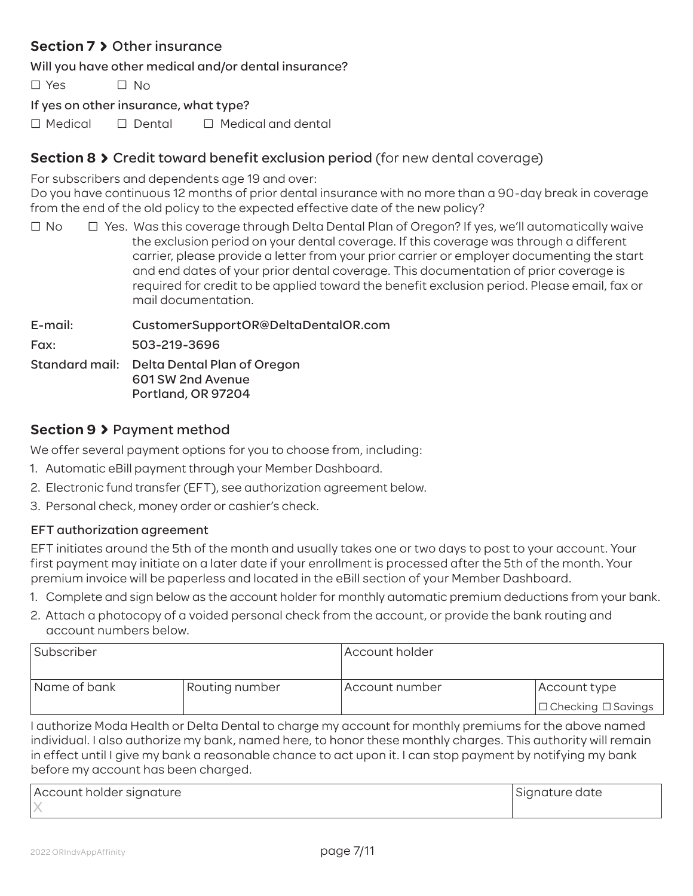## **Section 7 > Other insurance**

Will you have other medical and/or dental insurance?

 $\square$  Yes  $\square$  No

If yes on other insurance, what type?

 $\Box$  Medical  $\Box$  Dental  $\Box$  Medical and dental

## **Section 8 > Credit toward benefit exclusion period (for new dental coverage)**

For subscribers and dependents age 19 and over:

Do you have continuous 12 months of prior dental insurance with no more than a 90-day break in coverage from the end of the old policy to the expected effective date of the new policy?

 $\Box$  No  $\Box$  Yes. Was this coverage through Delta Dental Plan of Oregon? If yes, we'll automatically waive the exclusion period on your dental coverage. If this coverage was through a different carrier, please provide a letter from your prior carrier or employer documenting the start and end dates of your prior dental coverage. This documentation of prior coverage is required for credit to be applied toward the benefit exclusion period. Please email, fax or mail documentation.

E-mail: CustomerSupportOR@DeltaDentalOR.com Fax: 503-219-3696 Standard mail: Delta Dental Plan of Oregon 601 SW 2nd Avenue Portland, OR 97204

## **Section 9** Payment method

We offer several payment options for you to choose from, including:

- 1. Automatic eBill payment through your Member Dashboard.
- 2. Electronic fund transfer (EFT), see authorization agreement below.
- 3. Personal check, money order or cashier's check.

## EFT authorization agreement

EFT initiates around the 5th of the month and usually takes one or two days to post to your account. Your first payment may initiate on a later date if your enrollment is processed after the 5th of the month. Your premium invoice will be paperless and located in the eBill section of your Member Dashboard.

- 1. Complete and sign below as the account holder for monthly automatic premium deductions from your bank.
- 2. Attach a photocopy of a voided personal check from the account, or provide the bank routing and account numbers below.

| Subscriber   |                | Account holder |                                |  |  |  |
|--------------|----------------|----------------|--------------------------------|--|--|--|
| Name of bank | Routing number | Account number | Account type                   |  |  |  |
|              |                |                | $\Box$ Checking $\Box$ Savings |  |  |  |

I authorize Moda Health or Delta Dental to charge my account for monthly premiums for the above named individual. I also authorize my bank, named here, to honor these monthly charges. This authority will remain in effect until I give my bank a reasonable chance to act upon it. I can stop payment by notifying my bank before my account has been charged.

| Account holder signature | Signature date |
|--------------------------|----------------|
|                          |                |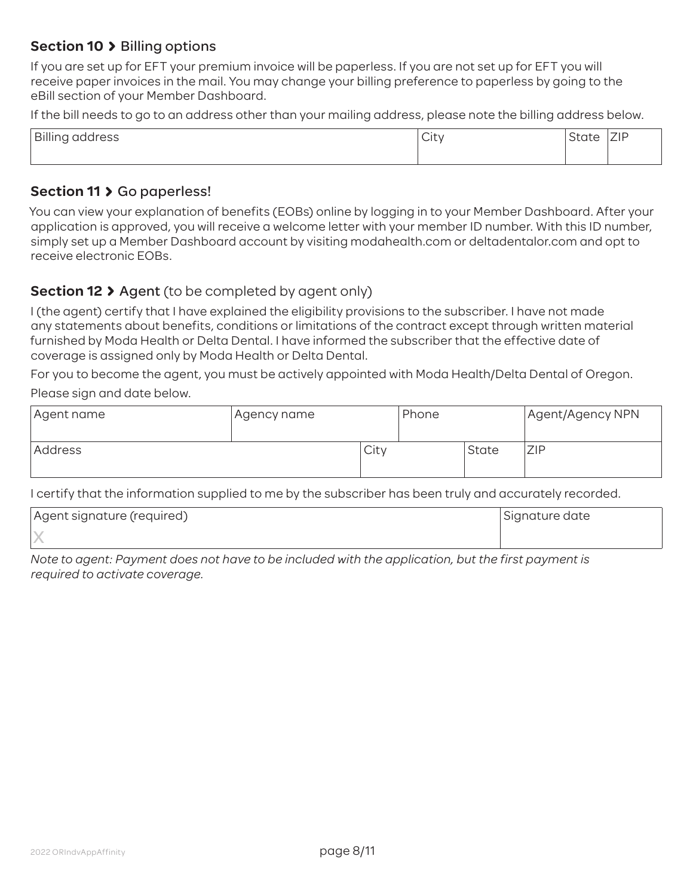## **Section 10 > Billing options**

If you are set up for EFT your premium invoice will be paperless. If you are not set up for EFT you will receive paper invoices in the mail. You may change your billing preference to paperless by going to the eBill section of your Member Dashboard.

If the bill needs to go to an address other than your mailing address, please note the billing address below.

| Billing<br>address | ٦Ħ١.<br>ا با اب | $\sim$ | $\overline{\phantom{a}}$<br>. L.<br>$-11$ |
|--------------------|-----------------|--------|-------------------------------------------|
|                    |                 |        |                                           |

#### Section 11 > Go paperless!

You can view your explanation of benefits (EOBs) online by logging in to your Member Dashboard. After your application is approved, you will receive a welcome letter with your member ID number. With this ID number, simply set up a Member Dashboard account by visiting modahealth.com or deltadentalor.com and opt to receive electronic EOBs.

## **Section 12 > Agent** (to be completed by agent only)

I (the agent) certify that I have explained the eligibility provisions to the subscriber. I have not made any statements about benefits, conditions or limitations of the contract except through written material furnished by Moda Health or Delta Dental. I have informed the subscriber that the effective date of coverage is assigned only by Moda Health or Delta Dental.

For you to become the agent, you must be actively appointed with Moda Health/Delta Dental of Oregon. Please sign and date below.

| Agent name | Agency name- |      | Phone |       | Agent/Agency NPN |
|------------|--------------|------|-------|-------|------------------|
| Address    |              | City |       | State | ZIP              |

I certify that the information supplied to me by the subscriber has been truly and accurately recorded.

| Agent signature (required) | Signature date |
|----------------------------|----------------|
|                            |                |

*Note to agent: Payment does not have to be included with the application, but the first payment is required to activate coverage.*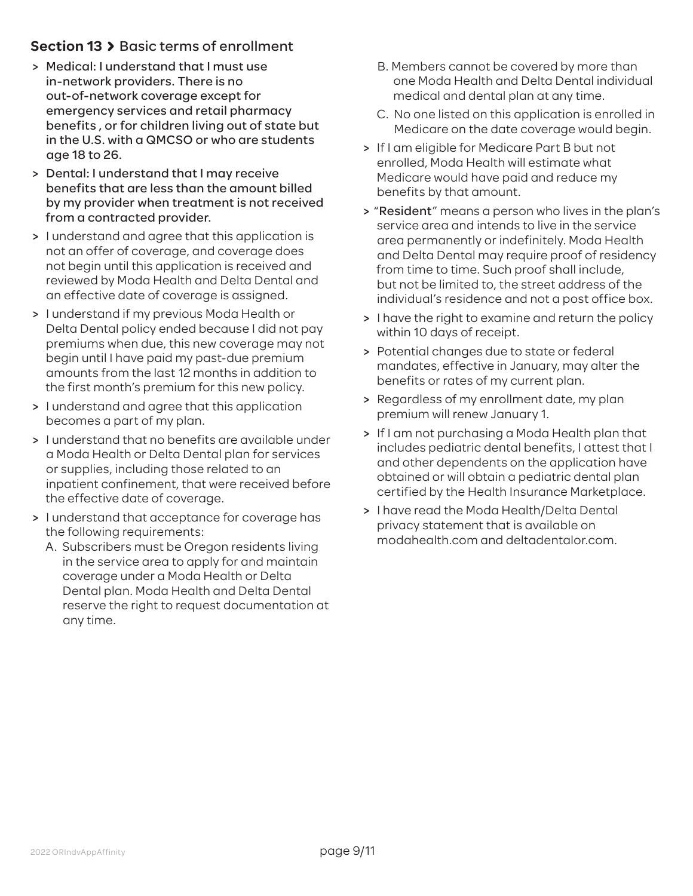## **Section 13 > Basic terms of enrollment**

- > Medical: I understand that I must use in-network providers. There is no out-of-network coverage except for emergency services and retail pharmacy benefits , or for children living out of state but in the U.S. with a QMCSO or who are students age 18 to 26.
- > Dental: I understand that I may receive benefits that are less than the amount billed by my provider when treatment is not received from a contracted provider.
- > I understand and agree that this application is not an offer of coverage, and coverage does not begin until this application is received and reviewed by Moda Health and Delta Dental and an effective date of coverage is assigned.
- > I understand if my previous Moda Health or Delta Dental policy ended because I did not pay premiums when due, this new coverage may not begin until I have paid my past-due premium amounts from the last 12 months in addition to the first month's premium for this new policy.
- > I understand and agree that this application becomes a part of my plan.
- > I understand that no benefits are available under a Moda Health or Delta Dental plan for services or supplies, including those related to an inpatient confinement, that were received before the effective date of coverage.
- > I understand that acceptance for coverage has the following requirements:
	- A. Subscribers must be Oregon residents living in the service area to apply for and maintain coverage under a Moda Health or Delta Dental plan. Moda Health and Delta Dental reserve the right to request documentation at any time.
- B. Members cannot be covered by more than one Moda Health and Delta Dental individual medical and dental plan at any time.
- C. No one listed on this application is enrolled in Medicare on the date coverage would begin.
- > If I am eligible for Medicare Part B but not enrolled, Moda Health will estimate what Medicare would have paid and reduce my benefits by that amount.
- > "Resident" means a person who lives in the plan's service area and intends to live in the service area permanently or indefinitely. Moda Health and Delta Dental may require proof of residency from time to time. Such proof shall include, but not be limited to, the street address of the individual's residence and not a post office box.
- > I have the right to examine and return the policy within 10 days of receipt.
- > Potential changes due to state or federal mandates, effective in January, may alter the benefits or rates of my current plan.
- > Regardless of my enrollment date, my plan premium will renew January 1.
- > If I am not purchasing a Moda Health plan that includes pediatric dental benefits, I attest that I and other dependents on the application have obtained or will obtain a pediatric dental plan certified by the Health Insurance Marketplace.
- > I have read the Moda Health/Delta Dental privacy statement that is available on modahealth.com and deltadentalor.com.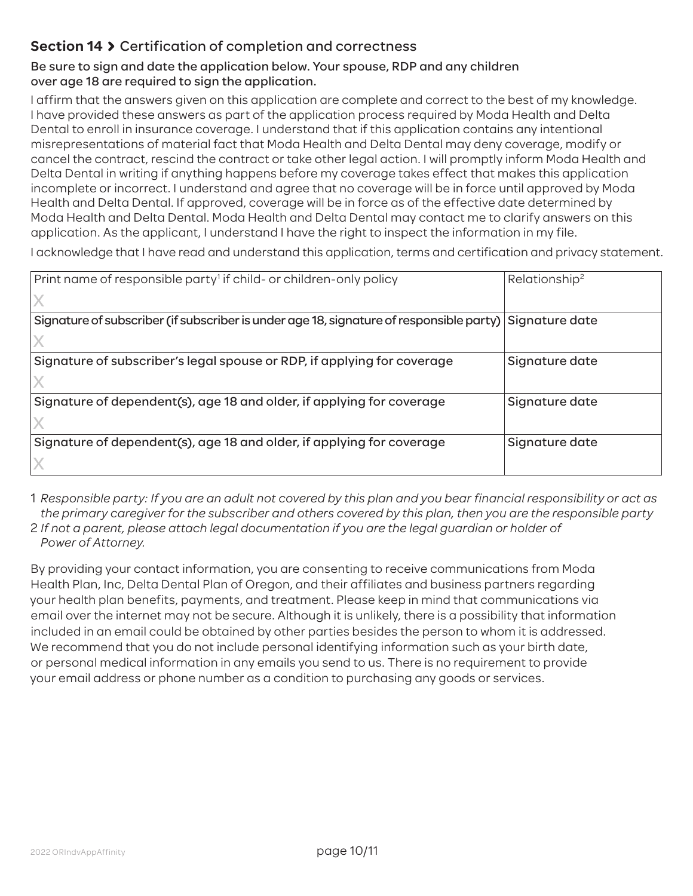## **Section 14** Certification of completion and correctness

### Be sure to sign and date the application below. Your spouse, RDP and any children over age 18 are required to sign the application.

I affirm that the answers given on this application are complete and correct to the best of my knowledge. I have provided these answers as part of the application process required by Moda Health and Delta Dental to enroll in insurance coverage. I understand that if this application contains any intentional misrepresentations of material fact that Moda Health and Delta Dental may deny coverage, modify or cancel the contract, rescind the contract or take other legal action. I will promptly inform Moda Health and Delta Dental in writing if anything happens before my coverage takes effect that makes this application incomplete or incorrect. I understand and agree that no coverage will be in force until approved by Moda Health and Delta Dental. If approved, coverage will be in force as of the effective date determined by Moda Health and Delta Dental. Moda Health and Delta Dental may contact me to clarify answers on this application. As the applicant, I understand I have the right to inspect the information in my file.

I acknowledge that I have read and understand this application, terms and certification and privacy statement.

| Print name of responsible party <sup>1</sup> if child- or children-only policy                           | Relationship <sup>2</sup> |
|----------------------------------------------------------------------------------------------------------|---------------------------|
|                                                                                                          |                           |
| Signature of subscriber (if subscriber is under age 18, signature of responsible party)   Signature date |                           |
|                                                                                                          |                           |
| Signature of subscriber's legal spouse or RDP, if applying for coverage                                  | Signature date            |
|                                                                                                          |                           |
| Signature of dependent(s), age 18 and older, if applying for coverage                                    | Signature date            |
|                                                                                                          |                           |
| Signature of dependent(s), age 18 and older, if applying for coverage                                    | Signature date            |
|                                                                                                          |                           |

1 *Responsible party: If you are an adult not covered by this plan and you bear financial responsibility or act as the primary caregiver for the subscriber and others covered by this plan, then you are the responsible party*

2 *If not a parent, please attach legal documentation if you are the legal guardian or holder of Power of Attorney.*

By providing your contact information, you are consenting to receive communications from Moda Health Plan, Inc, Delta Dental Plan of Oregon, and their affiliates and business partners regarding your health plan benefits, payments, and treatment. Please keep in mind that communications via email over the internet may not be secure. Although it is unlikely, there is a possibility that information included in an email could be obtained by other parties besides the person to whom it is addressed. We recommend that you do not include personal identifying information such as your birth date, or personal medical information in any emails you send to us. There is no requirement to provide your email address or phone number as a condition to purchasing any goods or services.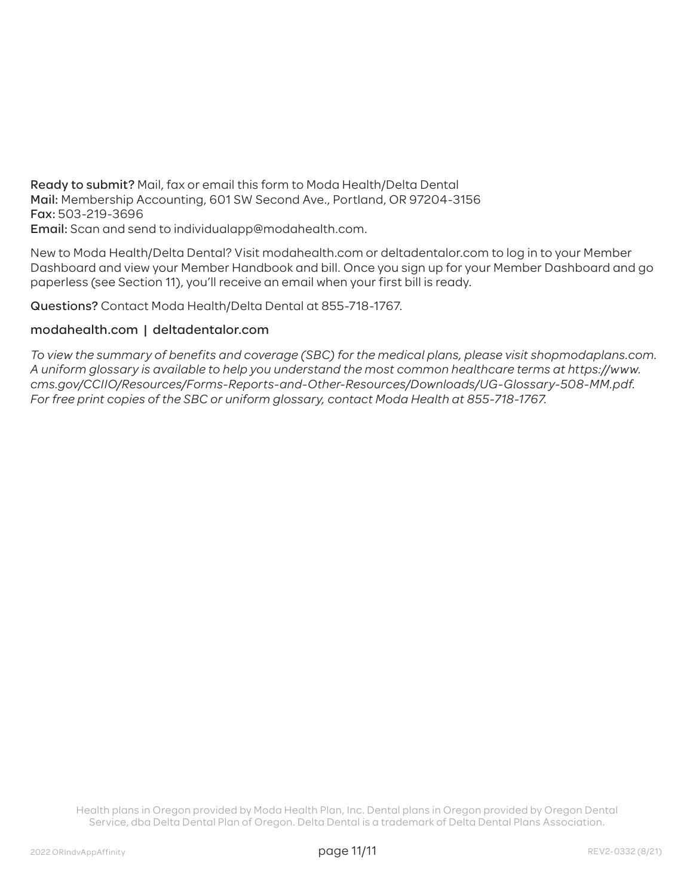Ready to submit? Mail, fax or email this form to Moda Health/Delta Dental Mail: Membership Accounting, 601 SW Second Ave., Portland, OR 97204-3156 Fax: 503-219-3696 Email: Scan and send to individualapp@modahealth.com.

New to Moda Health/Delta Dental? Visit modahealth.com or deltadentalor.com to log in to your Member Dashboard and view your Member Handbook and bill. Once you sign up for your Member Dashboard and go paperless (see Section 11), you'll receive an email when your first bill is ready.

Questions? Contact Moda Health/Delta Dental at 855-718-1767.

#### modahealth.com | deltadentalor.com

*To view the summary of benefits and coverage (SBC) for the medical plans, please visit shopmodaplans.com. A uniform glossary is available to help you understand the most common healthcare terms at https://www. cms.gov/CCIIO/Resources/Forms-Reports-and-Other-Resources/Downloads/UG-Glossary-508-MM.pdf. For free print copies of the SBC or uniform glossary, contact Moda Health at 855-718-1767.*

Health plans in Oregon provided by Moda Health Plan, Inc. Dental plans in Oregon provided by Oregon Dental Service, dba Delta Dental Plan of Oregon. Delta Dental is a trademark of Delta Dental Plans Association.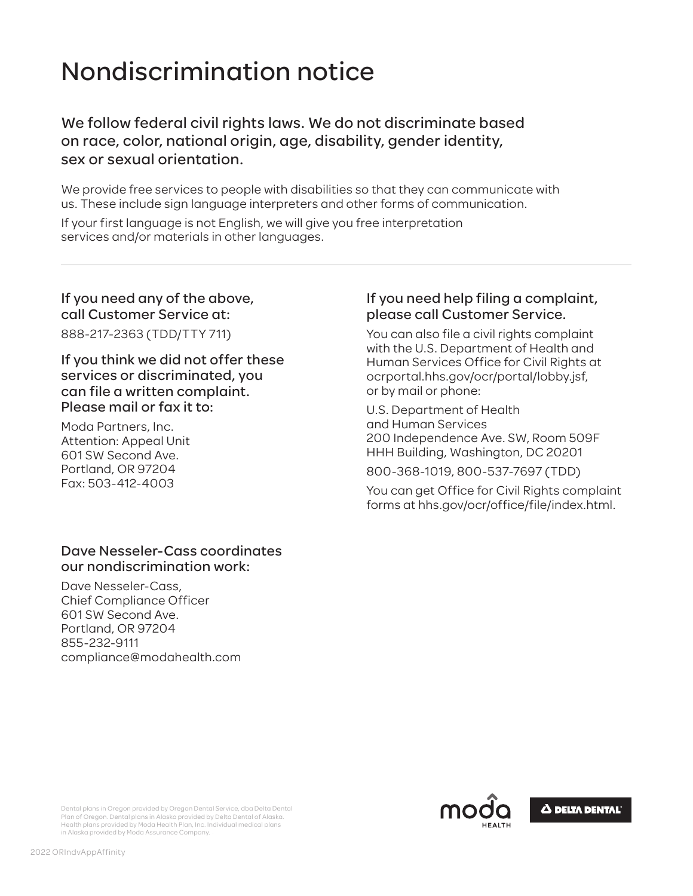# Nondiscrimination notice

We follow federal civil rights laws. We do not discriminate based on race, color, national origin, age, disability, gender identity, sex or sexual orientation.

We provide free services to people with disabilities so that they can communicate with us. These include sign language interpreters and other forms of communication.

If your first language is not English, we will give you free interpretation services and/or materials in other languages.

## If you need any of the above, call Customer Service at:

888-217-2363 (TDD/TTY 711)

If you think we did not offer these services or discriminated, you can file a written complaint. Please mail or fax it to:

Moda Partners, Inc. Attention: Appeal Unit 601 SW Second Ave. Portland, OR 97204 Fax: 503-412-4003

#### Dave Nesseler-Cass coordinates our nondiscrimination work:

Dave Nesseler-Cass, Chief Compliance Officer 601 SW Second Ave. Portland, OR 97204 855-232-9111 compliance@modahealth.com

## If you need help filing a complaint, please call Customer Service.

You can also file a civil rights complaint with the U.S. Department of Health and Human Services Office for Civil Rights at ocrportal.hhs.gov/ocr/portal/lobby.jsf, or by mail or phone:

U.S. Department of Health and Human Services 200 Independence Ave. SW, Room 509F HHH Building, Washington, DC 20201

800-368-1019, 800-537-7697 (TDD)

You can get Office for Civil Rights complaint forms at hhs.gov/ocr/office/file/index.html.



Dental plans in Oregon provided by Oregon Dental Service, dba Delta Dental Plan of Oregon. Dental plans in Alaska provided by Delta Dental of Alaska. Health plans provided by Moda Health Plan, Inc. Individual medical plans in Alaska provided by Moda Assurance Company.